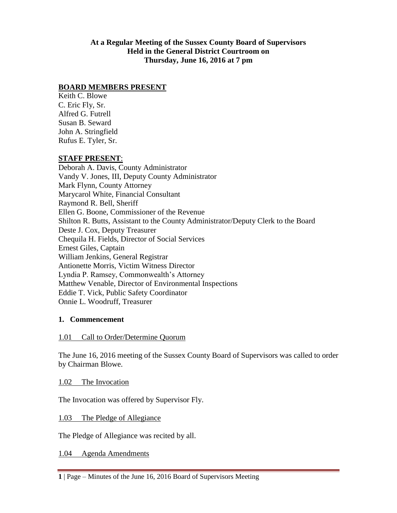#### **At a Regular Meeting of the Sussex County Board of Supervisors Held in the General District Courtroom on Thursday, June 16, 2016 at 7 pm**

#### **BOARD MEMBERS PRESENT**

Keith C. Blowe C. Eric Fly, Sr. Alfred G. Futrell Susan B. Seward John A. Stringfield Rufus E. Tyler, Sr.

#### **STAFF PRESENT**:

Deborah A. Davis, County Administrator Vandy V. Jones, III, Deputy County Administrator Mark Flynn, County Attorney Marycarol White, Financial Consultant Raymond R. Bell, Sheriff Ellen G. Boone, Commissioner of the Revenue Shilton R. Butts, Assistant to the County Administrator/Deputy Clerk to the Board Deste J. Cox, Deputy Treasurer Chequila H. Fields, Director of Social Services Ernest Giles, Captain William Jenkins, General Registrar Antionette Morris, Victim Witness Director Lyndia P. Ramsey, Commonwealth's Attorney Matthew Venable, Director of Environmental Inspections Eddie T. Vick, Public Safety Coordinator Onnie L. Woodruff, Treasurer

#### **1. Commencement**

#### 1.01 Call to Order/Determine Quorum

The June 16, 2016 meeting of the Sussex County Board of Supervisors was called to order by Chairman Blowe.

1.02 The Invocation

The Invocation was offered by Supervisor Fly.

1.03 The Pledge of Allegiance

The Pledge of Allegiance was recited by all.

1.04 Agenda Amendments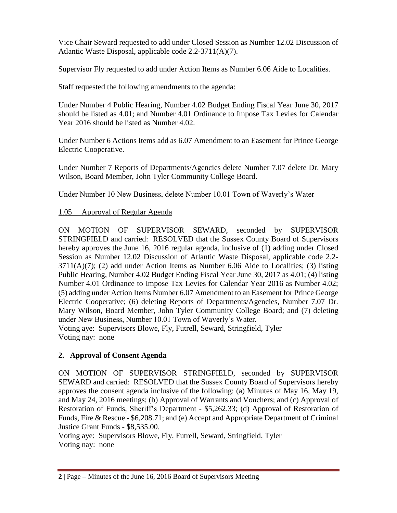Vice Chair Seward requested to add under Closed Session as Number 12.02 Discussion of Atlantic Waste Disposal, applicable code 2.2-3711(A)(7).

Supervisor Fly requested to add under Action Items as Number 6.06 Aide to Localities.

Staff requested the following amendments to the agenda:

Under Number 4 Public Hearing, Number 4.02 Budget Ending Fiscal Year June 30, 2017 should be listed as 4.01; and Number 4.01 Ordinance to Impose Tax Levies for Calendar Year 2016 should be listed as Number 4.02.

Under Number 6 Actions Items add as 6.07 Amendment to an Easement for Prince George Electric Cooperative.

Under Number 7 Reports of Departments/Agencies delete Number 7.07 delete Dr. Mary Wilson, Board Member, John Tyler Community College Board.

Under Number 10 New Business, delete Number 10.01 Town of Waverly's Water

## 1.05 Approval of Regular Agenda

ON MOTION OF SUPERVISOR SEWARD, seconded by SUPERVISOR STRINGFIELD and carried: RESOLVED that the Sussex County Board of Supervisors hereby approves the June 16, 2016 regular agenda, inclusive of (1) adding under Closed Session as Number 12.02 Discussion of Atlantic Waste Disposal, applicable code 2.2-  $3711(A)(7)$ ; (2) add under Action Items as Number 6.06 Aide to Localities; (3) listing Public Hearing, Number 4.02 Budget Ending Fiscal Year June 30, 2017 as 4.01; (4) listing Number 4.01 Ordinance to Impose Tax Levies for Calendar Year 2016 as Number 4.02; (5) adding under Action Items Number 6.07 Amendment to an Easement for Prince George Electric Cooperative; (6) deleting Reports of Departments/Agencies, Number 7.07 Dr. Mary Wilson, Board Member, John Tyler Community College Board; and (7) deleting under New Business, Number 10.01 Town of Waverly's Water. Voting aye: Supervisors Blowe, Fly, Futrell, Seward, Stringfield, Tyler Voting nay: none

**2. Approval of Consent Agenda**

ON MOTION OF SUPERVISOR STRINGFIELD, seconded by SUPERVISOR SEWARD and carried: RESOLVED that the Sussex County Board of Supervisors hereby approves the consent agenda inclusive of the following: (a) Minutes of May 16, May 19, and May 24, 2016 meetings; (b) Approval of Warrants and Vouchers; and (c) Approval of Restoration of Funds, Sheriff's Department - \$5,262.33; (d) Approval of Restoration of Funds, Fire & Rescue - \$6,208.71; and (e) Accept and Appropriate Department of Criminal Justice Grant Funds - \$8,535.00.

Voting aye: Supervisors Blowe, Fly, Futrell, Seward, Stringfield, Tyler Voting nay: none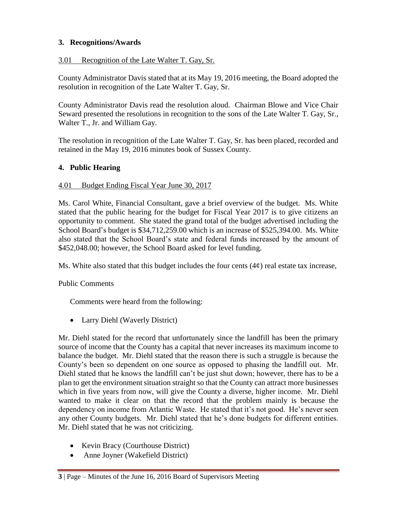## **3. Recognitions/Awards**

## 3.01 Recognition of the Late Walter T. Gay, Sr.

County Administrator Davis stated that at its May 19, 2016 meeting, the Board adopted the resolution in recognition of the Late Walter T. Gay, Sr.

County Administrator Davis read the resolution aloud. Chairman Blowe and Vice Chair Seward presented the resolutions in recognition to the sons of the Late Walter T. Gay, Sr., Walter T., Jr. and William Gay.

The resolution in recognition of the Late Walter T. Gay, Sr. has been placed, recorded and retained in the May 19, 2016 minutes book of Sussex County.

#### **4. Public Hearing**

#### 4.01 Budget Ending Fiscal Year June 30, 2017

Ms. Carol White, Financial Consultant, gave a brief overview of the budget. Ms. White stated that the public hearing for the budget for Fiscal Year 2017 is to give citizens an opportunity to comment. She stated the grand total of the budget advertised including the School Board's budget is \$34,712,259.00 which is an increase of \$525,394.00. Ms. White also stated that the School Board's state and federal funds increased by the amount of \$452,048.00; however, the School Board asked for level funding.

Ms. White also stated that this budget includes the four cents  $(4\phi)$  real estate tax increase,

## Public Comments

Comments were heard from the following:

• Larry Diehl (Waverly District)

Mr. Diehl stated for the record that unfortunately since the landfill has been the primary source of income that the County has a capital that never increases its maximum income to balance the budget. Mr. Diehl stated that the reason there is such a struggle is because the County's been so dependent on one source as opposed to phasing the landfill out. Mr. Diehl stated that he knows the landfill can't be just shut down; however, there has to be a plan to get the environment situation straight so that the County can attract more businesses which in five years from now, will give the County a diverse, higher income. Mr. Diehl wanted to make it clear on that the record that the problem mainly is because the dependency on income from Atlantic Waste. He stated that it's not good. He's never seen any other County budgets. Mr. Diehl stated that he's done budgets for different entities. Mr. Diehl stated that he was not criticizing.

- Kevin Bracy (Courthouse District)
- Anne Joyner (Wakefield District)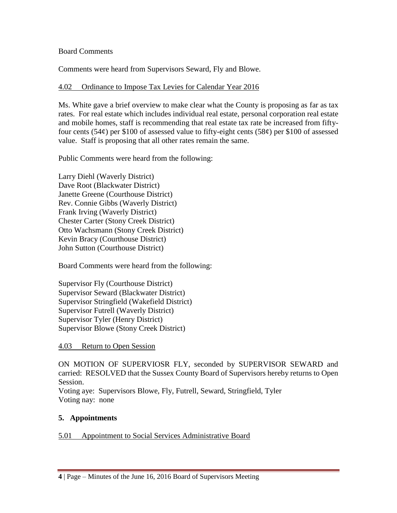## Board Comments

Comments were heard from Supervisors Seward, Fly and Blowe.

## 4.02 Ordinance to Impose Tax Levies for Calendar Year 2016

Ms. White gave a brief overview to make clear what the County is proposing as far as tax rates. For real estate which includes individual real estate, personal corporation real estate and mobile homes, staff is recommending that real estate tax rate be increased from fiftyfour cents (54¢) per \$100 of assessed value to fifty-eight cents (58¢) per \$100 of assessed value. Staff is proposing that all other rates remain the same.

Public Comments were heard from the following:

Larry Diehl (Waverly District) Dave Root (Blackwater District) Janette Greene (Courthouse District) Rev. Connie Gibbs (Waverly District) Frank Irving (Waverly District) Chester Carter (Stony Creek District) Otto Wachsmann (Stony Creek District) Kevin Bracy (Courthouse District) John Sutton (Courthouse District)

Board Comments were heard from the following:

Supervisor Fly (Courthouse District) Supervisor Seward (Blackwater District) Supervisor Stringfield (Wakefield District) Supervisor Futrell (Waverly District) Supervisor Tyler (Henry District) Supervisor Blowe (Stony Creek District)

4.03 Return to Open Session

ON MOTION OF SUPERVIOSR FLY, seconded by SUPERVISOR SEWARD and carried: RESOLVED that the Sussex County Board of Supervisors hereby returns to Open Session.

Voting aye: Supervisors Blowe, Fly, Futrell, Seward, Stringfield, Tyler Voting nay: none

# **5. Appointments**

## 5.01 Appointment to Social Services Administrative Board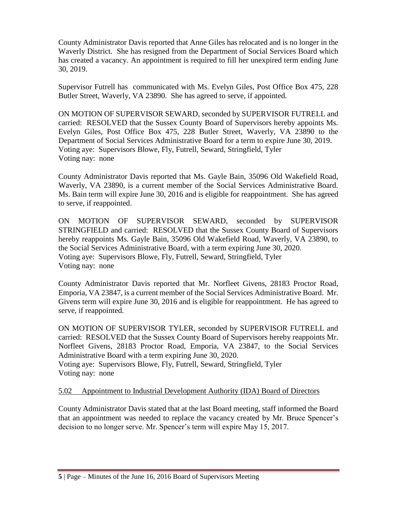County Administrator Davis reported that Anne Giles has relocated and is no longer in the Waverly District. She has resigned from the Department of Social Services Board which has created a vacancy. An appointment is required to fill her unexpired term ending June 30, 2019.

Supervisor Futrell has communicated with Ms. Evelyn Giles, Post Office Box 475, 228 Butler Street, Waverly, VA 23890. She has agreed to serve, if appointed.

ON MOTION OF SUPERVISOR SEWARD, seconded by SUPERVISOR FUTRELL and carried: RESOLVED that the Sussex County Board of Supervisors hereby appoints Ms. Evelyn Giles, Post Office Box 475, 228 Butler Street, Waverly, VA 23890 to the Department of Social Services Administrative Board for a term to expire June 30, 2019. Voting aye: Supervisors Blowe, Fly, Futrell, Seward, Stringfield, Tyler Voting nay: none

County Administrator Davis reported that Ms. Gayle Bain, 35096 Old Wakefield Road, Waverly, VA 23890, is a current member of the Social Services Administrative Board. Ms. Bain term will expire June 30, 2016 and is eligible for reappointment. She has agreed to serve, if reappointed.

ON MOTION OF SUPERVISOR SEWARD, seconded by SUPERVISOR STRINGFIELD and carried: RESOLVED that the Sussex County Board of Supervisors hereby reappoints Ms. Gayle Bain, 35096 Old Wakefield Road, Waverly, VA 23890, to the Social Services Administrative Board, with a term expiring June 30, 2020. Voting aye: Supervisors Blowe, Fly, Futrell, Seward, Stringfield, Tyler Voting nay: none

County Administrator Davis reported that Mr. Norfleet Givens, 28183 Proctor Road, Emporia, VA 23847, is a current member of the Social Services Administrative Board. Mr. Givens term will expire June 30, 2016 and is eligible for reappointment. He has agreed to serve, if reappointed.

ON MOTION OF SUPERVISOR TYLER, seconded by SUPERVISOR FUTRELL and carried: RESOLVED that the Sussex County Board of Supervisors hereby reappoints Mr. Norfleet Givens, 28183 Proctor Road, Emporia, VA 23847, to the Social Services Administrative Board with a term expiring June 30, 2020.

Voting aye: Supervisors Blowe, Fly, Futrell, Seward, Stringfield, Tyler Voting nay: none

## 5.02 Appointment to Industrial Development Authority (IDA) Board of Directors

County Administrator Davis stated that at the last Board meeting, staff informed the Board that an appointment was needed to replace the vacancy created by Mr. Bruce Spencer's decision to no longer serve. Mr. Spencer's term will expire May 15, 2017.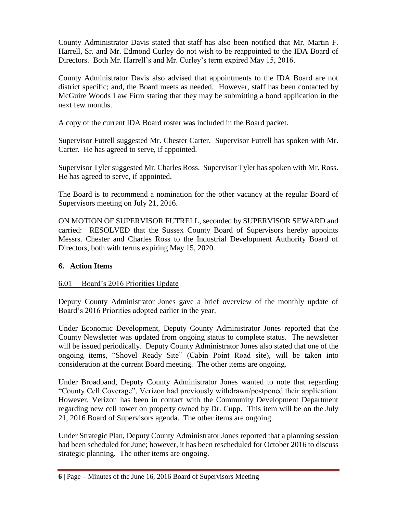County Administrator Davis stated that staff has also been notified that Mr. Martin F. Harrell, Sr. and Mr. Edmond Curley do not wish to be reappointed to the IDA Board of Directors. Both Mr. Harrell's and Mr. Curley's term expired May 15, 2016.

County Administrator Davis also advised that appointments to the IDA Board are not district specific; and, the Board meets as needed. However, staff has been contacted by McGuire Woods Law Firm stating that they may be submitting a bond application in the next few months.

A copy of the current IDA Board roster was included in the Board packet.

Supervisor Futrell suggested Mr. Chester Carter. Supervisor Futrell has spoken with Mr. Carter. He has agreed to serve, if appointed.

Supervisor Tyler suggested Mr. Charles Ross. Supervisor Tyler has spoken with Mr. Ross. He has agreed to serve, if appointed.

The Board is to recommend a nomination for the other vacancy at the regular Board of Supervisors meeting on July 21, 2016.

ON MOTION OF SUPERVISOR FUTRELL, seconded by SUPERVISOR SEWARD and carried: RESOLVED that the Sussex County Board of Supervisors hereby appoints Messrs. Chester and Charles Ross to the Industrial Development Authority Board of Directors, both with terms expiring May 15, 2020.

# **6. Action Items**

# 6.01 Board's 2016 Priorities Update

Deputy County Administrator Jones gave a brief overview of the monthly update of Board's 2016 Priorities adopted earlier in the year.

Under Economic Development, Deputy County Administrator Jones reported that the County Newsletter was updated from ongoing status to complete status. The newsletter will be issued periodically. Deputy County Administrator Jones also stated that one of the ongoing items, "Shovel Ready Site" (Cabin Point Road site), will be taken into consideration at the current Board meeting. The other items are ongoing.

Under Broadband, Deputy County Administrator Jones wanted to note that regarding "County Cell Coverage", Verizon had previously withdrawn/postponed their application. However, Verizon has been in contact with the Community Development Department regarding new cell tower on property owned by Dr. Cupp. This item will be on the July 21, 2016 Board of Supervisors agenda. The other items are ongoing.

Under Strategic Plan, Deputy County Administrator Jones reported that a planning session had been scheduled for June; however, it has been rescheduled for October 2016 to discuss strategic planning. The other items are ongoing.

**<sup>6</sup>** | Page – Minutes of the June 16, 2016 Board of Supervisors Meeting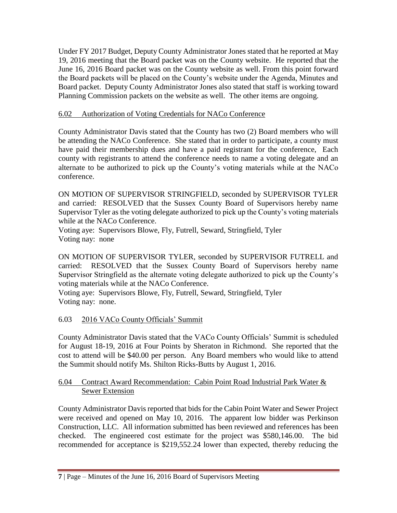Under FY 2017 Budget, Deputy County Administrator Jones stated that he reported at May 19, 2016 meeting that the Board packet was on the County website. He reported that the June 16, 2016 Board packet was on the County website as well. From this point forward the Board packets will be placed on the County's website under the Agenda, Minutes and Board packet. Deputy County Administrator Jones also stated that staff is working toward Planning Commission packets on the website as well. The other items are ongoing.

## 6.02 Authorization of Voting Credentials for NACo Conference

County Administrator Davis stated that the County has two (2) Board members who will be attending the NACo Conference. She stated that in order to participate, a county must have paid their membership dues and have a paid registrant for the conference, Each county with registrants to attend the conference needs to name a voting delegate and an alternate to be authorized to pick up the County's voting materials while at the NACo conference.

ON MOTION OF SUPERVISOR STRINGFIELD, seconded by SUPERVISOR TYLER and carried: RESOLVED that the Sussex County Board of Supervisors hereby name Supervisor Tyler as the voting delegate authorized to pick up the County's voting materials while at the NACo Conference.

Voting aye: Supervisors Blowe, Fly, Futrell, Seward, Stringfield, Tyler Voting nay: none

ON MOTION OF SUPERVISOR TYLER, seconded by SUPERVISOR FUTRELL and carried: RESOLVED that the Sussex County Board of Supervisors hereby name Supervisor Stringfield as the alternate voting delegate authorized to pick up the County's voting materials while at the NACo Conference.

Voting aye: Supervisors Blowe, Fly, Futrell, Seward, Stringfield, Tyler Voting nay: none.

## 6.03 2016 VACo County Officials' Summit

County Administrator Davis stated that the VACo County Officials' Summit is scheduled for August 18-19, 2016 at Four Points by Sheraton in Richmond. She reported that the cost to attend will be \$40.00 per person. Any Board members who would like to attend the Summit should notify Ms. Shilton Ricks-Butts by August 1, 2016.

## 6.04 Contract Award Recommendation: Cabin Point Road Industrial Park Water & Sewer Extension

County Administrator Davis reported that bids for the Cabin Point Water and Sewer Project were received and opened on May 10, 2016. The apparent low bidder was Perkinson Construction, LLC. All information submitted has been reviewed and references has been checked. The engineered cost estimate for the project was \$580,146.00. The bid recommended for acceptance is \$219,552.24 lower than expected, thereby reducing the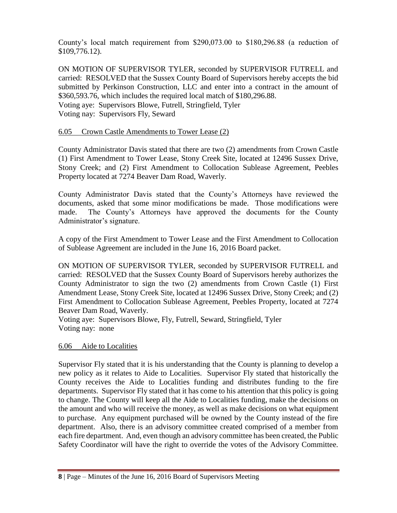County's local match requirement from \$290,073.00 to \$180,296.88 (a reduction of \$109,776.12).

ON MOTION OF SUPERVISOR TYLER, seconded by SUPERVISOR FUTRELL and carried: RESOLVED that the Sussex County Board of Supervisors hereby accepts the bid submitted by Perkinson Construction, LLC and enter into a contract in the amount of \$360,593.76, which includes the required local match of \$180,296.88. Voting aye: Supervisors Blowe, Futrell, Stringfield, Tyler Voting nay: Supervisors Fly, Seward

#### 6.05 Crown Castle Amendments to Tower Lease (2)

County Administrator Davis stated that there are two (2) amendments from Crown Castle (1) First Amendment to Tower Lease, Stony Creek Site, located at 12496 Sussex Drive, Stony Creek; and (2) First Amendment to Collocation Sublease Agreement, Peebles Property located at 7274 Beaver Dam Road, Waverly.

County Administrator Davis stated that the County's Attorneys have reviewed the documents, asked that some minor modifications be made. Those modifications were made. The County's Attorneys have approved the documents for the County Administrator's signature.

A copy of the First Amendment to Tower Lease and the First Amendment to Collocation of Sublease Agreement are included in the June 16, 2016 Board packet.

ON MOTION OF SUPERVISOR TYLER, seconded by SUPERVISOR FUTRELL and carried: RESOLVED that the Sussex County Board of Supervisors hereby authorizes the County Administrator to sign the two (2) amendments from Crown Castle (1) First Amendment Lease, Stony Creek Site, located at 12496 Sussex Drive, Stony Creek; and (2) First Amendment to Collocation Sublease Agreement, Peebles Property, located at 7274 Beaver Dam Road, Waverly.

Voting aye: Supervisors Blowe, Fly, Futrell, Seward, Stringfield, Tyler Voting nay: none

#### 6.06 Aide to Localities

Supervisor Fly stated that it is his understanding that the County is planning to develop a new policy as it relates to Aide to Localities. Supervisor Fly stated that historically the County receives the Aide to Localities funding and distributes funding to the fire departments. Supervisor Fly stated that it has come to his attention that this policy is going to change. The County will keep all the Aide to Localities funding, make the decisions on the amount and who will receive the money, as well as make decisions on what equipment to purchase. Any equipment purchased will be owned by the County instead of the fire department. Also, there is an advisory committee created comprised of a member from each fire department. And, even though an advisory committee has been created, the Public Safety Coordinator will have the right to override the votes of the Advisory Committee.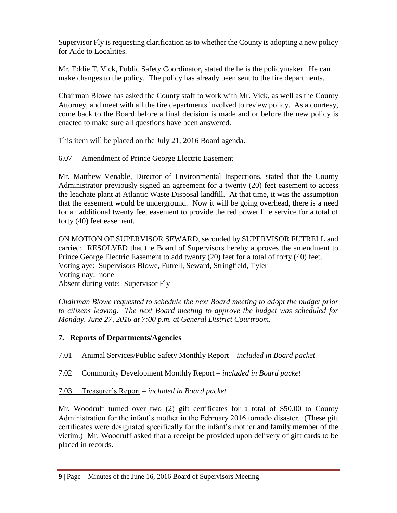Supervisor Fly is requesting clarification as to whether the County is adopting a new policy for Aide to Localities.

Mr. Eddie T. Vick, Public Safety Coordinator, stated the he is the policymaker. He can make changes to the policy. The policy has already been sent to the fire departments.

Chairman Blowe has asked the County staff to work with Mr. Vick, as well as the County Attorney, and meet with all the fire departments involved to review policy. As a courtesy, come back to the Board before a final decision is made and or before the new policy is enacted to make sure all questions have been answered.

This item will be placed on the July 21, 2016 Board agenda.

## 6.07 Amendment of Prince George Electric Easement

Mr. Matthew Venable, Director of Environmental Inspections, stated that the County Administrator previously signed an agreement for a twenty (20) feet easement to access the leachate plant at Atlantic Waste Disposal landfill. At that time, it was the assumption that the easement would be underground. Now it will be going overhead, there is a need for an additional twenty feet easement to provide the red power line service for a total of forty (40) feet easement.

ON MOTION OF SUPERVISOR SEWARD, seconded by SUPERVISOR FUTRELL and carried: RESOLVED that the Board of Supervisors hereby approves the amendment to Prince George Electric Easement to add twenty (20) feet for a total of forty (40) feet. Voting aye: Supervisors Blowe, Futrell, Seward, Stringfield, Tyler Voting nay: none Absent during vote: Supervisor Fly

*Chairman Blowe requested to schedule the next Board meeting to adopt the budget prior to citizens leaving. The next Board meeting to approve the budget was scheduled for Monday, June 27, 2016 at 7:00 p.m. at General District Courtroom.*

## **7. Reports of Departments/Agencies**

7.01 Animal Services/Public Safety Monthly Report – *included in Board packet*

# 7.02 Community Development Monthly Report – *included in Board packet*

# 7.03 Treasurer's Report – *included in Board packet*

Mr. Woodruff turned over two (2) gift certificates for a total of \$50.00 to County Administration for the infant's mother in the February 2016 tornado disaster. (These gift certificates were designated specifically for the infant's mother and family member of the victim.) Mr. Woodruff asked that a receipt be provided upon delivery of gift cards to be placed in records.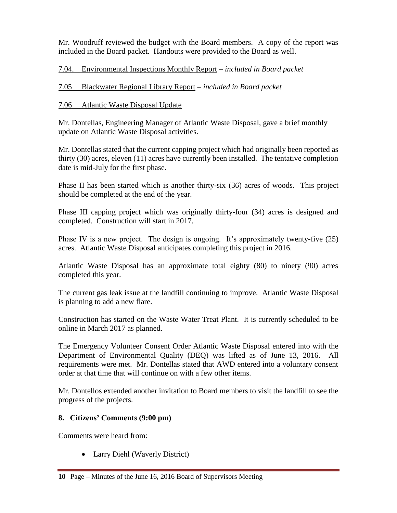Mr. Woodruff reviewed the budget with the Board members. A copy of the report was included in the Board packet. Handouts were provided to the Board as well.

7.04. Environmental Inspections Monthly Report – *included in Board packet*

# 7.05 Blackwater Regional Library Report – *included in Board packet*

# 7.06 Atlantic Waste Disposal Update

Mr. Dontellas, Engineering Manager of Atlantic Waste Disposal, gave a brief monthly update on Atlantic Waste Disposal activities.

Mr. Dontellas stated that the current capping project which had originally been reported as thirty (30) acres, eleven (11) acres have currently been installed. The tentative completion date is mid-July for the first phase.

Phase II has been started which is another thirty-six (36) acres of woods. This project should be completed at the end of the year.

Phase III capping project which was originally thirty-four (34) acres is designed and completed. Construction will start in 2017.

Phase IV is a new project. The design is ongoing. It's approximately twenty-five (25) acres. Atlantic Waste Disposal anticipates completing this project in 2016.

Atlantic Waste Disposal has an approximate total eighty (80) to ninety (90) acres completed this year.

The current gas leak issue at the landfill continuing to improve. Atlantic Waste Disposal is planning to add a new flare.

Construction has started on the Waste Water Treat Plant. It is currently scheduled to be online in March 2017 as planned.

The Emergency Volunteer Consent Order Atlantic Waste Disposal entered into with the Department of Environmental Quality (DEQ) was lifted as of June 13, 2016. All requirements were met. Mr. Dontellas stated that AWD entered into a voluntary consent order at that time that will continue on with a few other items.

Mr. Dontellos extended another invitation to Board members to visit the landfill to see the progress of the projects.

## **8. Citizens' Comments (9:00 pm)**

Comments were heard from:

• Larry Diehl (Waverly District)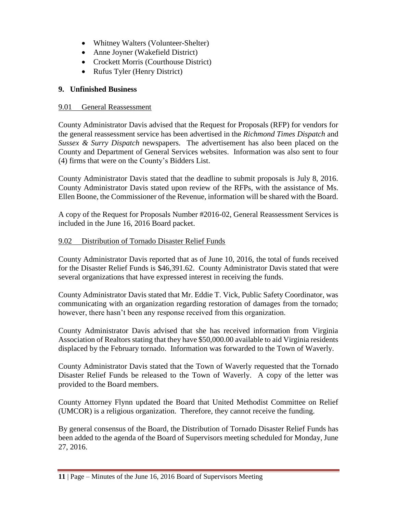- Whitney Walters (Volunteer-Shelter)
- Anne Joyner (Wakefield District)
- Crockett Morris (Courthouse District)
- Rufus Tyler (Henry District)

# **9. Unfinished Business**

## 9.01 General Reassessment

County Administrator Davis advised that the Request for Proposals (RFP) for vendors for the general reassessment service has been advertised in the *Richmond Times Dispatch* and *Sussex & Surry Dispatch* newspapers. The advertisement has also been placed on the County and Department of General Services websites. Information was also sent to four (4) firms that were on the County's Bidders List.

County Administrator Davis stated that the deadline to submit proposals is July 8, 2016. County Administrator Davis stated upon review of the RFPs, with the assistance of Ms. Ellen Boone, the Commissioner of the Revenue, information will be shared with the Board.

A copy of the Request for Proposals Number #2016-02, General Reassessment Services is included in the June 16, 2016 Board packet.

# 9.02 Distribution of Tornado Disaster Relief Funds

County Administrator Davis reported that as of June 10, 2016, the total of funds received for the Disaster Relief Funds is \$46,391.62. County Administrator Davis stated that were several organizations that have expressed interest in receiving the funds.

County Administrator Davis stated that Mr. Eddie T. Vick, Public Safety Coordinator, was communicating with an organization regarding restoration of damages from the tornado; however, there hasn't been any response received from this organization.

County Administrator Davis advised that she has received information from Virginia Association of Realtors stating that they have \$50,000.00 available to aid Virginia residents displaced by the February tornado. Information was forwarded to the Town of Waverly.

County Administrator Davis stated that the Town of Waverly requested that the Tornado Disaster Relief Funds be released to the Town of Waverly. A copy of the letter was provided to the Board members.

County Attorney Flynn updated the Board that United Methodist Committee on Relief (UMCOR) is a religious organization. Therefore, they cannot receive the funding.

By general consensus of the Board, the Distribution of Tornado Disaster Relief Funds has been added to the agenda of the Board of Supervisors meeting scheduled for Monday, June 27, 2016.

**<sup>11</sup>** | Page – Minutes of the June 16, 2016 Board of Supervisors Meeting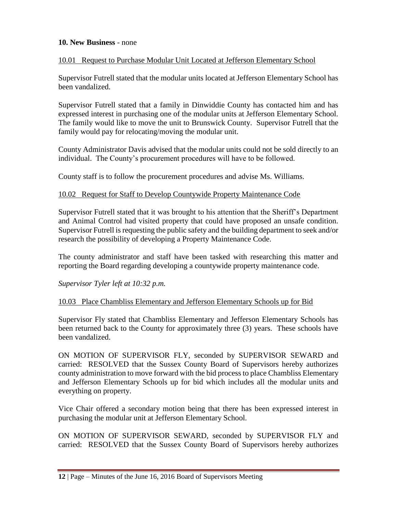#### **10. New Business** - none

#### 10.01 Request to Purchase Modular Unit Located at Jefferson Elementary School

Supervisor Futrell stated that the modular units located at Jefferson Elementary School has been vandalized.

Supervisor Futrell stated that a family in Dinwiddie County has contacted him and has expressed interest in purchasing one of the modular units at Jefferson Elementary School. The family would like to move the unit to Brunswick County. Supervisor Futrell that the family would pay for relocating/moving the modular unit.

County Administrator Davis advised that the modular units could not be sold directly to an individual. The County's procurement procedures will have to be followed.

County staff is to follow the procurement procedures and advise Ms. Williams.

#### 10.02 Request for Staff to Develop Countywide Property Maintenance Code

Supervisor Futrell stated that it was brought to his attention that the Sheriff's Department and Animal Control had visited property that could have proposed an unsafe condition. Supervisor Futrell is requesting the public safety and the building department to seek and/or research the possibility of developing a Property Maintenance Code.

The county administrator and staff have been tasked with researching this matter and reporting the Board regarding developing a countywide property maintenance code.

*Supervisor Tyler left at 10:32 p.m.*

#### 10.03 Place Chambliss Elementary and Jefferson Elementary Schools up for Bid

Supervisor Fly stated that Chambliss Elementary and Jefferson Elementary Schools has been returned back to the County for approximately three (3) years. These schools have been vandalized.

ON MOTION OF SUPERVISOR FLY, seconded by SUPERVISOR SEWARD and carried: RESOLVED that the Sussex County Board of Supervisors hereby authorizes county administration to move forward with the bid process to place Chambliss Elementary and Jefferson Elementary Schools up for bid which includes all the modular units and everything on property.

Vice Chair offered a secondary motion being that there has been expressed interest in purchasing the modular unit at Jefferson Elementary School.

ON MOTION OF SUPERVISOR SEWARD, seconded by SUPERVISOR FLY and carried: RESOLVED that the Sussex County Board of Supervisors hereby authorizes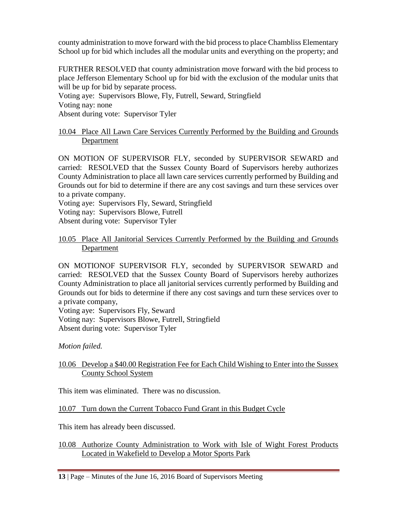county administration to move forward with the bid process to place Chambliss Elementary School up for bid which includes all the modular units and everything on the property; and

FURTHER RESOLVED that county administration move forward with the bid process to place Jefferson Elementary School up for bid with the exclusion of the modular units that will be up for bid by separate process.

Voting aye: Supervisors Blowe, Fly, Futrell, Seward, Stringfield Voting nay: none Absent during vote: Supervisor Tyler

## 10.04 Place All Lawn Care Services Currently Performed by the Building and Grounds Department

ON MOTION OF SUPERVISOR FLY, seconded by SUPERVISOR SEWARD and carried: RESOLVED that the Sussex County Board of Supervisors hereby authorizes County Administration to place all lawn care services currently performed by Building and Grounds out for bid to determine if there are any cost savings and turn these services over to a private company.

Voting aye: Supervisors Fly, Seward, Stringfield Voting nay: Supervisors Blowe, Futrell Absent during vote: Supervisor Tyler

#### 10.05 Place All Janitorial Services Currently Performed by the Building and Grounds **Department**

ON MOTIONOF SUPERVISOR FLY, seconded by SUPERVISOR SEWARD and carried: RESOLVED that the Sussex County Board of Supervisors hereby authorizes County Administration to place all janitorial services currently performed by Building and Grounds out for bids to determine if there any cost savings and turn these services over to a private company,

Voting aye: Supervisors Fly, Seward

Voting nay: Supervisors Blowe, Futrell, Stringfield Absent during vote: Supervisor Tyler

*Motion failed.*

## 10.06 Develop a \$40.00 Registration Fee for Each Child Wishing to Enter into the Sussex County School System

This item was eliminated. There was no discussion.

# 10.07 Turn down the Current Tobacco Fund Grant in this Budget Cycle

This item has already been discussed.

## 10.08 Authorize County Administration to Work with Isle of Wight Forest Products Located in Wakefield to Develop a Motor Sports Park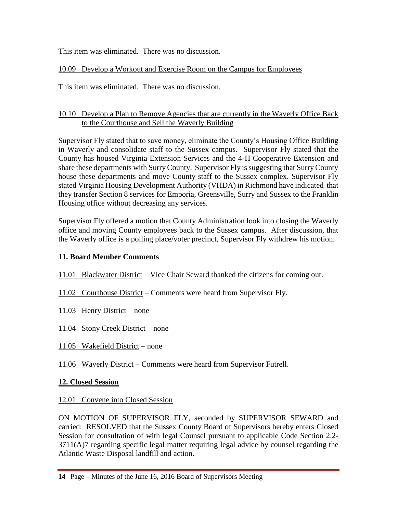This item was eliminated. There was no discussion.

## 10.09 Develop a Workout and Exercise Room on the Campus for Employees

This item was eliminated. There was no discussion.

## 10.10 Develop a Plan to Remove Agencies that are currently in the Waverly Office Back to the Courthouse and Sell the Waverly Building

Supervisor Fly stated that to save money, eliminate the County's Housing Office Building in Waverly and consolidate staff to the Sussex campus. Supervisor Fly stated that the County has housed Virginia Extension Services and the 4-H Cooperative Extension and share these departments with Surry County. Supervisor Fly is suggesting that Surry County house these departments and move County staff to the Sussex complex. Supervisor Fly stated Virginia Housing Development Authority (VHDA) in Richmond have indicated that they transfer Section 8 services for Emporia, Greensville, Surry and Sussex to the Franklin Housing office without decreasing any services.

Supervisor Fly offered a motion that County Administration look into closing the Waverly office and moving County employees back to the Sussex campus. After discussion, that the Waverly office is a polling place/voter precinct, Supervisor Fly withdrew his motion.

## **11. Board Member Comments**

11.01 Blackwater District – Vice Chair Seward thanked the citizens for coming out.

11.02 Courthouse District – Comments were heard from Supervisor Fly.

- 11.03 Henry District none
- 11.04 Stony Creek District none
- 11.05 Wakefield District none
- 11.06 Waverly District Comments were heard from Supervisor Futrell.

## **12. Closed Session**

## 12.01 Convene into Closed Session

ON MOTION OF SUPERVISOR FLY, seconded by SUPERVISOR SEWARD and carried: RESOLVED that the Sussex County Board of Supervisors hereby enters Closed Session for consultation of with legal Counsel pursuant to applicable Code Section 2.2- 3711(A)7 regarding specific legal matter requiring legal advice by counsel regarding the Atlantic Waste Disposal landfill and action.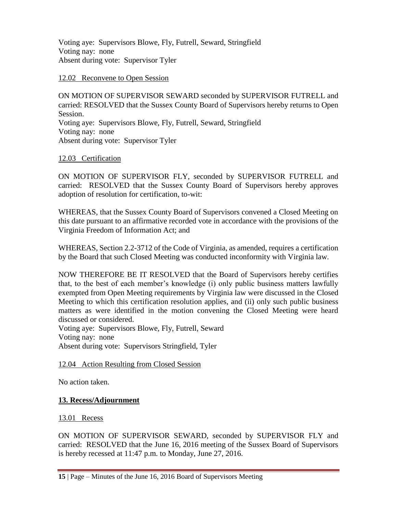Voting aye: Supervisors Blowe, Fly, Futrell, Seward, Stringfield Voting nay: none Absent during vote: Supervisor Tyler

#### 12.02 Reconvene to Open Session

ON MOTION OF SUPERVISOR SEWARD seconded by SUPERVISOR FUTRELL and carried: RESOLVED that the Sussex County Board of Supervisors hereby returns to Open Session. Voting aye: Supervisors Blowe, Fly, Futrell, Seward, Stringfield Voting nay: none Absent during vote: Supervisor Tyler

#### 12.03 Certification

ON MOTION OF SUPERVISOR FLY, seconded by SUPERVISOR FUTRELL and carried: RESOLVED that the Sussex County Board of Supervisors hereby approves adoption of resolution for certification, to-wit:

WHEREAS, that the Sussex County Board of Supervisors convened a Closed Meeting on this date pursuant to an affirmative recorded vote in accordance with the provisions of the Virginia Freedom of Information Act; and

WHEREAS, Section 2.2-3712 of the Code of Virginia, as amended, requires a certification by the Board that such Closed Meeting was conducted inconformity with Virginia law.

NOW THEREFORE BE IT RESOLVED that the Board of Supervisors hereby certifies that, to the best of each member's knowledge (i) only public business matters lawfully exempted from Open Meeting requirements by Virginia law were discussed in the Closed Meeting to which this certification resolution applies, and (ii) only such public business matters as were identified in the motion convening the Closed Meeting were heard discussed or considered.

Voting aye: Supervisors Blowe, Fly, Futrell, Seward Voting nay: none Absent during vote: Supervisors Stringfield, Tyler

#### 12.04 Action Resulting from Closed Session

No action taken.

## **13. Recess/Adjournment**

13.01 Recess

ON MOTION OF SUPERVISOR SEWARD, seconded by SUPERVISOR FLY and carried: RESOLVED that the June 16, 2016 meeting of the Sussex Board of Supervisors is hereby recessed at 11:47 p.m. to Monday, June 27, 2016.